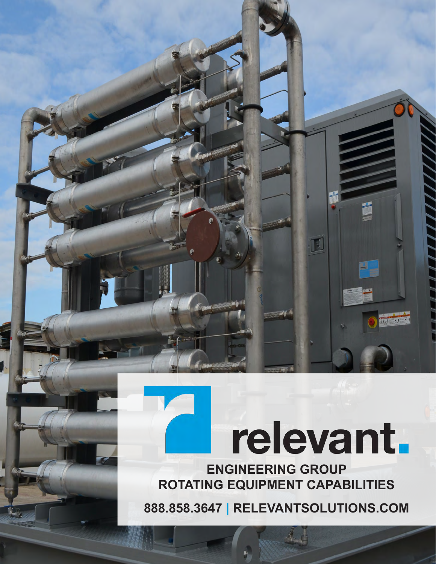# relevant.

 $\mathbf{I}$ 

**Bal** 

**ENGINEERING GROUP ROTATING EQUIPMENT CAPABILITIES**

**888.858.3647 | [RELEVANTSOLUTIONS.COM](www.relevantsolutions.com)**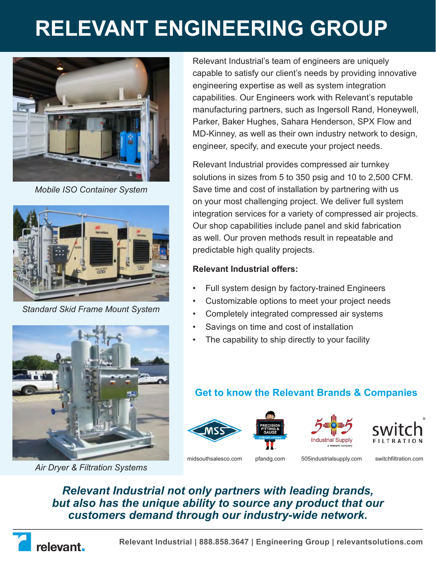## **RELEVANT ENGINEERING GROUP**



*Mobile ISO Container System*



*Standard Skid Frame Mount System*



*Air Dryer & Filtration Systems*

Relevant Industrial's team of engineers are uniquely capable to satisfy our client's needs by providing innovative engineering expertise as well as system integration capabilities. Our Engineers work with Relevant's reputable manufacturing partners, such as Ingersoll Rand, Honeywell, Parker, Baker Hughes, Sahara Henderson, SPX Flow and MD-Kinney, as well as their own industry network to design, engineer, specify, and execute your project needs.

Relevant Industrial provides compressed air turnkey solutions in sizes from 5 to 350 psig and 10 to 2,500 CFM. Save time and cost of installation by partnering with us on your most challenging project. We deliver full system integration services for a variety of compressed air projects. Our shop capabilities include panel and skid fabrication as well. Our proven methods result in repeatable and predictable high quality projects.

#### **Relevant Industrial offers:**

- Full system design by factory-trained Engineers
- Customizable options to meet your project needs
- Completely integrated compressed air systems
- Savings on time and cost of installation
- The capability to ship directly to your facility

### **Get to know the Relevant Brands & Companies**



[midsouthsalesco.com](www.midsouthsalesco.com) [pfandg.com](www.pfandg.com) [505industrialsupply.com](www.505industrialsupply.com) [switchfiltration.com](www.switchfiltration.com)

*Relevant Industrial not only partners with leading brands, but also has the unique ability to source any product that our customers demand through our industry-wide network.* 

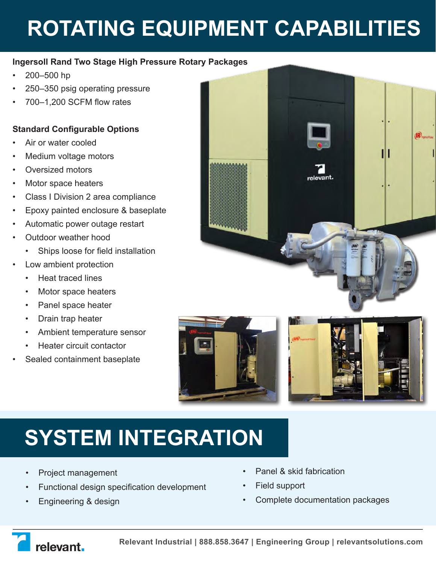## **ROTATING EQUIPMENT CAPABILITIES**

#### **Ingersoll Rand Two Stage High Pressure Rotary Packages**

- 200–500 hp
- 250–350 psig operating pressure
- 700–1,200 SCFM flow rates

#### **Standard Configurable Options**

- Air or water cooled
- Medium voltage motors
- Oversized motors
- Motor space heaters
- Class I Division 2 area compliance
- Epoxy painted enclosure & baseplate
- Automatic power outage restart
- Outdoor weather hood
	- Ships loose for field installation
- Low ambient protection
	- Heat traced lines
	- Motor space heaters
	- Panel space heater
	- Drain trap heater
	- Ambient temperature sensor
	- Heater circuit contactor
- Sealed containment baseplate







### **SYSTEM INTEGRATION**

- Project management
- Functional design specification development
- Engineering & design
- Panel & skid fabrication
- Field support
- Complete documentation packages